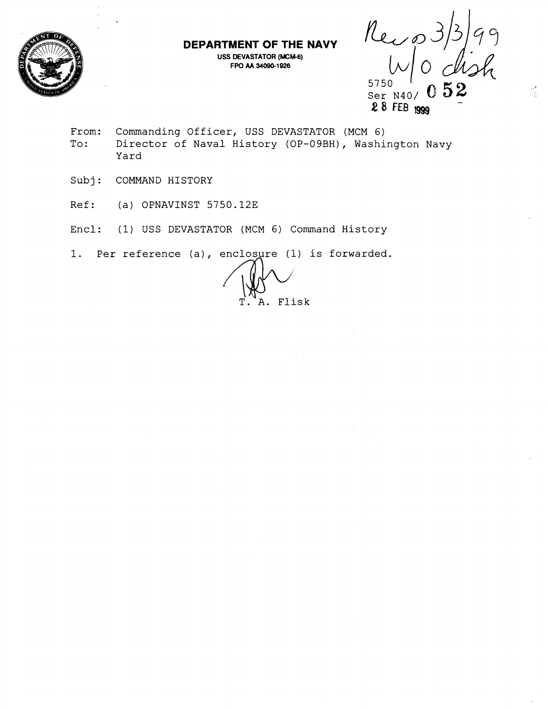



98.<br>Vite

Ser N40/ (28 **FEB** 1999

From: Commanding Officer, USS DEVASTATOR (MCM 6) To: Director of Naval History (OP-09BH), Washington Navy Yard

**DEPARTMENT OF THE NAVY USS DEVASTATOR (MCM-6) <sup>F</sup>W AA 346941926** 

- Subj: COMMAND HISTORY
- Ref: (a) OPNAVINST 5750.12E
- Encl: (1) USS DEVASTATOR (MCM 6) Command History

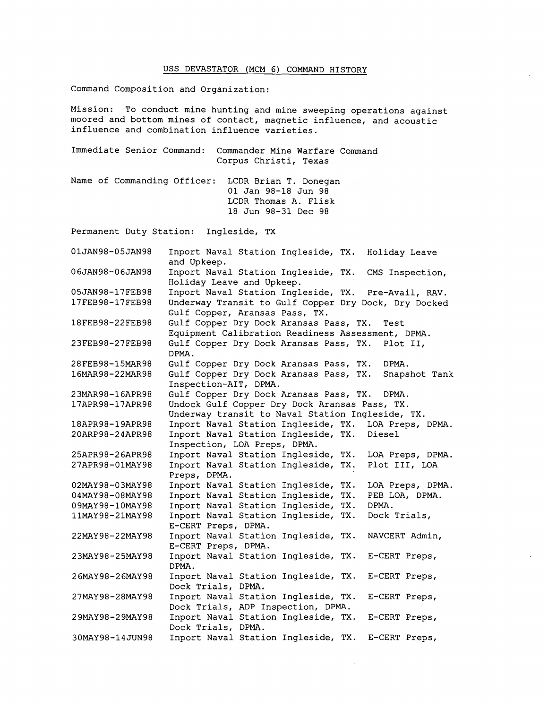## USS DEVASTATOR (MCM 6) COMMAND HISTORY

Command Composition and Organization:

Mission: To conduct mine hunting and mine sweeping operations against moored and bottom mines of contact, magnetic influence, and acoustic influence and combination influence varieties.

|                                                   | Immediate Senior Command: Commander Mine Warfare Command<br>Corpus Christi, Texas |
|---------------------------------------------------|-----------------------------------------------------------------------------------|
| Name of Commanding Officer: LCDR Brian T. Donegan | 01 Jan 98-18 Jun 98<br>LCDR Thomas A. Flisk<br>18 Jun 98-31 Dec 98                |

Permanent Duty Station: Ingleside, TX

| 01JAN98-05JAN98 | Inport Naval Station Ingleside, TX.<br>Holiday Leave<br>and Upkeep.                        |
|-----------------|--------------------------------------------------------------------------------------------|
| 06JAN98-06JAN98 | Inport Naval Station Ingleside, TX.<br>CMS Inspection,<br>Holiday Leave and Upkeep.        |
| 05JAN98-17FEB98 | Inport Naval Station Ingleside, TX. Pre-Avail, RAV.                                        |
| 17FEB98-17FEB98 | Underway Transit to Gulf Copper Dry Dock, Dry Docked                                       |
|                 | Gulf Copper, Aransas Pass, TX.                                                             |
| 18FEB98-22FEB98 | Gulf Copper Dry Dock Aransas Pass, TX.<br>Test                                             |
|                 | Equipment Calibration Readiness Assessment, DPMA.                                          |
| 23FEB98-27FEB98 | Gulf Copper Dry Dock Aransas Pass, TX.<br>Plot II,<br>DPMA.                                |
| 28FEB98-15MAR98 | Gulf Copper Dry Dock Aransas Pass, TX.<br>DPMA.                                            |
| 16MAR98-22MAR98 | Gulf Copper Dry Dock Aransas Pass, TX.<br>Snapshot Tank                                    |
|                 | Inspection-AIT, DPMA.                                                                      |
| 23MAR98-16APR98 | Gulf Copper Dry Dock Aransas Pass, TX.<br>DPMA.                                            |
| 17APR98-17APR98 | Undock Gulf Copper Dry Dock Aransas Pass, TX.                                              |
|                 | Underway transit to Naval Station Ingleside, TX.                                           |
| 18APR98-19APR98 | Inport Naval Station Ingleside, TX.<br>LOA Preps, DPMA.                                    |
| 20ARP98-24APR98 | Inport Naval Station Ingleside, TX.<br>Diesel<br>Inspection, LOA Preps, DPMA.              |
| 25APR98-26APR98 | Inport Naval Station Ingleside, TX.<br>LOA Preps, DPMA.                                    |
| 27APR98-01MAY98 | Inport Naval Station Ingleside, TX.<br>Plot III, LOA                                       |
|                 | Preps, DPMA.                                                                               |
| 02MAY98-03MAY98 | Inport Naval Station Ingleside, TX.<br>LOA Preps, DPMA.                                    |
| 04MAY98-08MAY98 | Inport Naval Station Ingleside,<br>PEB LOA, DPMA.<br>TX.                                   |
| 09MAY98-10MAY98 | Inport Naval Station Ingleside,<br>DPMA.<br>TX.                                            |
| 11MAY98-21MAY98 | Inport Naval Station Ingleside, TX.<br>Dock Trials,                                        |
|                 | E-CERT Preps, DPMA.                                                                        |
| 22MAY98-22MAY98 | Inport Naval Station Ingleside, TX.<br>NAVCERT Admin,<br>E-CERT Preps, DPMA.               |
| 23MAY98-25MAY98 | Inport Naval Station Ingleside, TX.<br>E-CERT Preps,<br>DPMA.                              |
| 26MAY98-26MAY98 | Inport Naval Station Ingleside, TX.<br>E-CERT Preps,                                       |
|                 | Dock Trials, DPMA.                                                                         |
| 27MAY98-28MAY98 | Inport Naval Station Ingleside, TX.<br>E-CERT Preps,<br>Dock Trials, ADP Inspection, DPMA. |
| 29MAY98-29MAY98 | Inport Naval Station Ingleside, TX.                                                        |
|                 | E-CERT Preps,<br>Dock Trials, DPMA.                                                        |
| 30MAY98-14JUN98 | Inport Naval Station Ingleside, TX.<br>E-CERT Preps,                                       |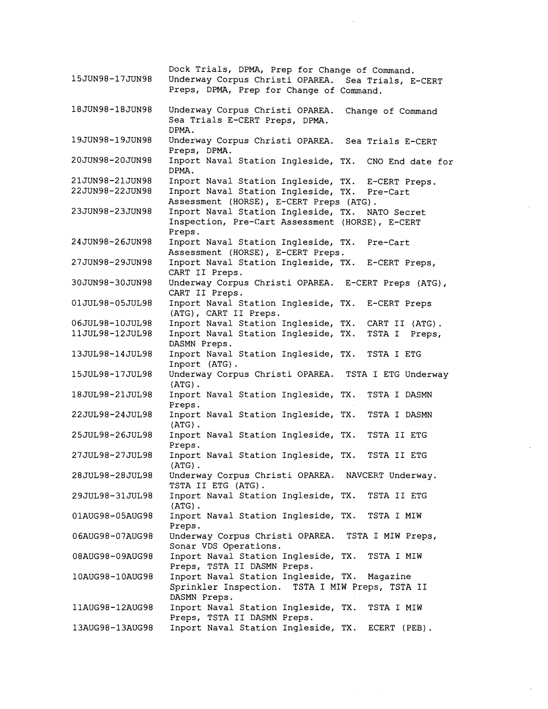Dock Trials, DPMA, Prep for Change of Command. 15JUN98-17JUN98 Underway Corpus Christi OPAREA. Sea Trials, E-CERT Preps, DPMA, Prep for Change of Command. 18JUN98-18JUN98 Underway Corpus Christi OPAREA. Change of Command Sea Trials E-CERT Preps, DPMA. DPMA. 19JUN98-19JUN98 Underway Corpus Christi OPAREA. Sea Trials E-CERT Preps, DPMA. 20JUN98-20JUN98 Inport Naval Station Ingleside, TX. CNO End date for DPMA. 21JUN98-21JUN98 Inport Naval Station Ingleside, TX. E-CERT Preps, 22JUN98-22JUN98 Inport Naval Station Ingleside, TX. Pre-Cart Assessment (HORSE), E-CERT Preps (ATG). 23JUN98-23JUN98 Inport Naval Station Ingleside, TX. NATO Secret Inspection, Pre-Cart Assessment (HORSE), E-CERT Preps. 24JUN98-26JUN98 Inport Naval Station Ingleside, TX. Pre-Cart Assessment (HORSE), E-CERT Preps. 27JUN98-29JUN98 Inport Naval Station Ingleside, TX. E-CERT Preps, CART I1 Preps. 30JUN98-30JUN98 Underway Corpus Christi OPAREA. E-CERT Preps (ATG), CART I1 Preps. 01JUL98-05JUL98 Inport Naval Station Ingleside, TX. E-CERT Preps (ATG), CART I1 Preps. 06JUL98-10JUL98 Inport Naval Station Ingleside, TX. CART I1 (ATG). Inport Naval Station Ingleside, TX. TSTA I Preps, 11JUL98-12JUL98 DASMN Preps. 13JUL98-14JUL98 Inport Naval Station Ingleside, TX. TSTA I ETG Inport (ATG).<br>Underway Corpus Christi OPAREA. TSTA I ETG Underway 15JUL98-17JUL98 (ATG) . 18JUL98-21JUL98 Inport Naval Station Ingleside, TX. TSTA I DASMN Preps. 22JUL98-24JUL98 Inport Naval Station Ingleside, TX. TSTA I DASMN (ATG) . 25JUL98-26JUL98 Inport Naval Station Ingleside, TX. TSTA I1 ETG Preps. 27JUL98-27JUL98 Inport Naval Station Ingleside, TX. TSTA I1 ETG (ATG) . 28JUL98-28JUL98 Underway Corpus Christi OPAREA. NAVCERT Underway. TSTA I1 ETG (ATG) . Inport Naval Station Ingleside, TX. TSTA I1 ETG 29JUL98-31JUL98 (ATG).<br>Inport Naval Station Ingleside, TX. TSTA I MIW 01AUG98-05AUG98 Preps. Underway Corpus Christi OPAREA. TSTA I MIW Preps, 06AUG98-07AUG98 Sonar VDS Operations. 08AUG98-09AUG98 Inport Naval Station Ingleside, TX. TSTA I MIW Preps, TSTA I1 DASMN Preps. 10AUG98-10AUG98 Inport Naval Station Ingleside, TX. Magazine Sprinkler Inspection. TSTA I MIW Preps, TSTA I1 DASMN Preps. 11AUG98-12AUG98 Inport Naval Station Ingleside, TX. TSTA I MIW Preps, TSTA I1 DASMN Preps. 13AUG98-13AUG98 Inport Naval Station Ingleside, TX. ECERT (PEB).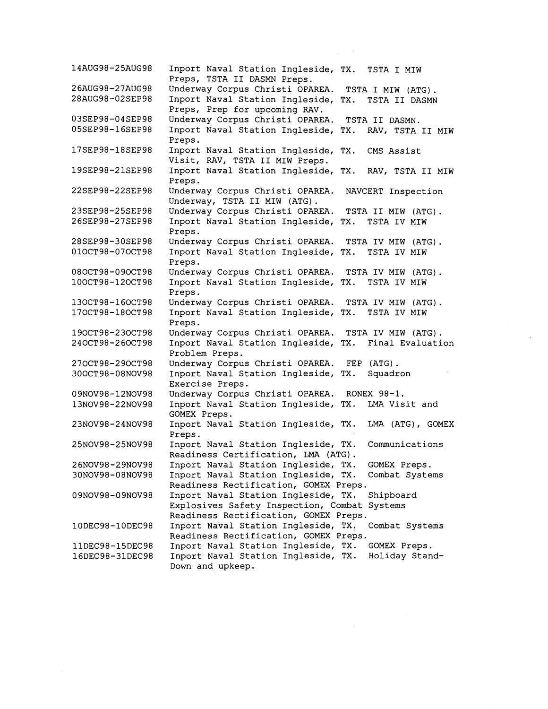Inport Naval Station Ingleside, TX. TSTA I MIW 14AUG98-25AUG98 Preps, TSTA I1 DASMN Preps. 26AUG98-27AUG98 Underway Corpus Christi OPAREA. TSTA I MIW (ATG). 28AUG98-02SEP98 Inport Naval Station Ingleside, TX. TSTA I1 DASMN Preps, Prep for upcoming RAV. 03SEP98-04SEP98 Underway Corpus Christi OPAREA. TSTA I1 DASMN. 05SEP98-16SEP98 Inport Naval Station Ingleside, TX. RAV, TSTA I1 MIW Preps. 17SEP98-18SEP98 Inport Naval Station Ingleside, TX. CMS Assist Visit, RAV, TSTA I1 MIW Preps. 19SEP98-21SEP98 Inport Naval Station Ingleside, TX. RAV, TSTA I1 MIW Preps. 22SEP98-22SEP98 Underway Corpus Christi OPAREA. NAVCERT Inspection Underway, TSTA II MIW (ATG).<br>Underway Corpus Christi OPAREA. TSTA II MIW (ATG). 23SEP98-25SEP98 26SEP98-27SEP98 Inport Naval Station Ingleside, TX. TSTA IV MIW Preps. 28SEP98-30SEP98 Underway Corpus Christi OPAREA. TSTA IV MIW (ATG). 010CT98-070CT98 Inport Naval Station Ingleside, TX. TSTA IV MIW Preps. Underway Corpus Christi OPAREA. TSTA IV MIW (ATG). 080CT98-090CT98 100CT98-120CT98 Inport Naval Station Ingleside, TX. TSTA IV MIW Preps. 130CT98-160CT98 Underway Corpus Christi OPAREA. TSTA IV MIW (ATG). 170CT98-180CT98 Inport Naval Station Ingleside, TX. TSTA IV MIW Preps. 190CT98-230CT98 Underway Corpus Christi OPAREA. TSTA IV MIW (ATG). 240CT98-260CT98 Inport Naval Station Ingleside, TX. Final Evaluation Problem Preps. 270CT98-290CT98 Underway Corpus Christi OPAREA. FEP (ATG). 300CT98-08NOV98 Inport Naval Station Ingleside, TX. Squadron Exercise Preps. Underway Corpus Christi OPAREA. RONEX 98-1. 09NOV98-12NOV98 13NOV98-22NOV98 Inport Naval Station Ingleside, TX. LMA Visit and GOMEX Preps. 23NOV98-24NOV98 Inport Naval Station Ingleside, TX. LMA (ATG), GOMEX Preps. 25NOV98-25NOV98 Inport Naval Station Ingleside, TX. Communications Readiness Certification, LMA (ATG) . Inport Naval Station Ingleside, TX. GOMEX Preps. 26NOV98-29NOV98 Inport Naval Station Ingleside, TX. Combat Systems 30NOV98-08NOV98 Readiness Rectification, GOMEX Preps. Inport Naval Station Ingleside, TX. Shipboard 09NOV98-09NOV98 Explosives Safety Inspection, Combat Systems Readiness Rectification, GOMEX Preps. 10DEC98-10DEC98 Inport Naval Station Ingleside, TX. Combat Systems Readiness Rectification, GOMEX Preps. 11DEC98-15DEC98 Inport Naval Station Ingleside, TX. GOMEX Preps. Inport Naval Station Ingleside, TX. Holiday Stand-16DEC98-31DEC98 Down and upkeep.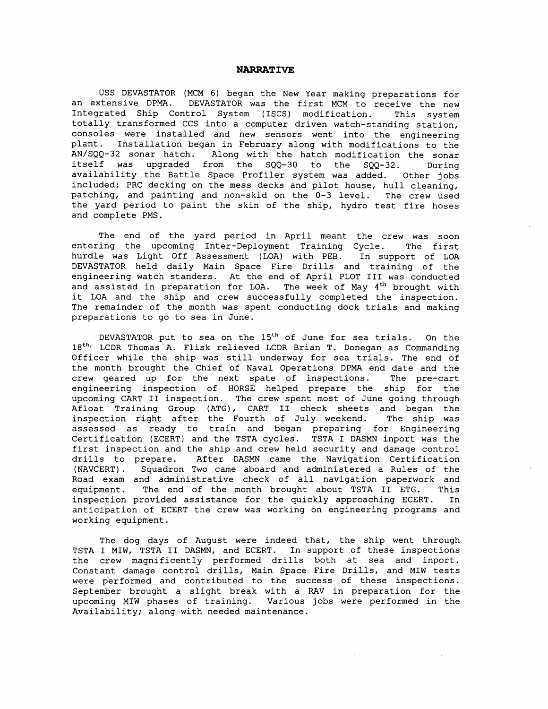## **NARRATIVE**

USS DEVASTATOR (MCM **6)** began the New Year making preparations for an extensive DPMA. DEVASTATOR was the first MCM to receive the new Integrated Ship Control System (ISCS) modification. This system totally transformed CCS into a computer driven watch-standing station, consoles were installed and new sensors went into the engineering plant. Installation began in February along with modifications to the<br>AN/SQQ-32 sonar hatch. Along with the hatch modification the sonar Along with the hatch modification the sonar itself was upgraded from the SQQ-30 to the SQQ-32. During availability the Battle Space Profiler system was added. Other jobs included: PRC decking on the mess decks and pilot house, hull cleaning, patching, and painting and non-skid on the 0-3 level. The crew used the yard period to paint the skin of the ship, hydro test fire hoses and complete PMS.

The end of the yard period in April meant the crew was soon entering the upcoming Inter-Deployment Training Cycle. The first hurdle was Light Off Assessment (LOA) with PEB. In support of LOA DEVASTATOR held daily Main Space Fire Drills and training of the engineering watch standers. At the end of April PLOT I11 was conducted and assisted in preparation for LOA. The week of May 4<sup>th</sup> brought with it LOA and the ship and crew successfully completed the inspection. The remainder of the month was spent conducting dock trials and making preparations to go to sea in June.

DEVASTATOR put to sea on the  $15<sup>th</sup>$  of June for sea trials. On the 18<sup>th,</sup> LCDR Thomas A. Flisk relieved LCDR Brian T. Donegan as Commanding Officer while the ship was still underway for sea trials. The end of the month brought the Chief of Naval Operations DPMA end date and the crew geared up for the next spate of inspections. The pre-cart engineering inspection of HORSE helped prepare the ship for the upcoming CART I1 inspection. The crew spent most of June going through Afloat Training Group (ATG), CART **I1** check sheets and began the inspection right after the Fourth of July weekend. The ship was assessed as ready to train and began preparing for Engineering Certification (ECERT) and the TSTA cycles. TSTA I DASMN inport was the first inspection and the ship and crew held security and damage control drills to prepare. After DASMN came the Navigation Certification (NAVCERT). Squadron Two came aboard and administered a Rules of the Road exam and administrative check of all navigation paperwork and equipment. The end of the month brought about TSTA I1 ETG. This inspection provided assistance for the quickly approaching ECERT. In anticipation of ECERT the crew was working on engineering programs and working equipment.

The dog days of August were indeed that, the ship went through TSTA I MIW, TSTA I1 DASMN, and ECERT. In support of these inspections the crew magnificently performed drills both at sea and inport. Constant damage control drills, Main Space Fire Drills, and MIW tests were performed and contributed to the success of these inspections. September brought a slight break with a RAV in preparation for the upcoming MIW phases of training. Various jobs were performed in the Availability; along with needed maintenance.